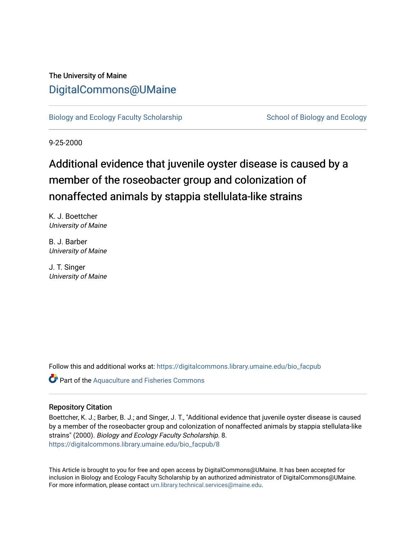# The University of Maine [DigitalCommons@UMaine](https://digitalcommons.library.umaine.edu/)

[Biology and Ecology Faculty Scholarship](https://digitalcommons.library.umaine.edu/bio_facpub) [School of Biology and Ecology](https://digitalcommons.library.umaine.edu/bio) and Ecology

9-25-2000

# Additional evidence that juvenile oyster disease is caused by a member of the roseobacter group and colonization of nonaffected animals by stappia stellulata-like strains

K. J. Boettcher University of Maine

B. J. Barber University of Maine

J. T. Singer University of Maine

Follow this and additional works at: [https://digitalcommons.library.umaine.edu/bio\\_facpub](https://digitalcommons.library.umaine.edu/bio_facpub?utm_source=digitalcommons.library.umaine.edu%2Fbio_facpub%2F8&utm_medium=PDF&utm_campaign=PDFCoverPages) 

**Part of the [Aquaculture and Fisheries Commons](http://network.bepress.com/hgg/discipline/78?utm_source=digitalcommons.library.umaine.edu%2Fbio_facpub%2F8&utm_medium=PDF&utm_campaign=PDFCoverPages)** 

# Repository Citation

Boettcher, K. J.; Barber, B. J.; and Singer, J. T., "Additional evidence that juvenile oyster disease is caused by a member of the roseobacter group and colonization of nonaffected animals by stappia stellulata-like strains" (2000). Biology and Ecology Faculty Scholarship. 8. [https://digitalcommons.library.umaine.edu/bio\\_facpub/8](https://digitalcommons.library.umaine.edu/bio_facpub/8?utm_source=digitalcommons.library.umaine.edu%2Fbio_facpub%2F8&utm_medium=PDF&utm_campaign=PDFCoverPages) 

This Article is brought to you for free and open access by DigitalCommons@UMaine. It has been accepted for inclusion in Biology and Ecology Faculty Scholarship by an authorized administrator of DigitalCommons@UMaine. For more information, please contact [um.library.technical.services@maine.edu](mailto:um.library.technical.services@maine.edu).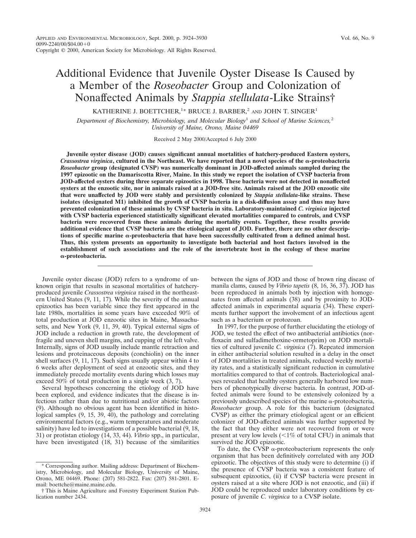# Additional Evidence that Juvenile Oyster Disease Is Caused by a Member of the *Roseobacter* Group and Colonization of Nonaffected Animals by *Stappia stellulata*-Like Strains†

KATHERINE J. BOETTCHER,<sup>1\*</sup> BRUCE J. BARBER,<sup>2</sup> and JOHN T. SINGER<sup>1</sup>

*Department of Biochemistry, Microbiology, and Molecular Biology*<sup>1</sup> *and School of Marine Sciences,*<sup>2</sup> *University of Maine, Orono, Maine 04469*

Received 2 May 2000/Accepted 6 July 2000

**Juvenile oyster disease (JOD) causes significant annual mortalities of hatchery-produced Eastern oysters,** *Crassostrea virginica*, cultured in the Northeast. We have reported that a novel species of the  $\alpha$ -proteobacteria *Roseobacter* **group (designated CVSP) was numerically dominant in JOD-affected animals sampled during the 1997 epizootic on the Damariscotta River, Maine. In this study we report the isolation of CVSP bacteria from JOD-affected oysters during three separate epizootics in 1998. These bacteria were not detected in nonaffected oysters at the enzootic site, nor in animals raised at a JOD-free site. Animals raised at the JOD enzootic site that were unaffected by JOD were stably and persistently colonized by** *Stappia stellulata***-like strains. These isolates (designated M1) inhibited the growth of CVSP bacteria in a disk-diffusion assay and thus may have prevented colonization of these animals by CVSP bacteria in situ. Laboratory-maintained** *C. virginica* **injected with CVSP bacteria experienced statistically significant elevated mortalities compared to controls, and CVSP bacteria were recovered from these animals during the mortality events. Together, these results provide additional evidence that CVSP bacteria are the etiological agent of JOD. Further, there are no other descriptions of specific marine** a**-proteobacteria that have been successfully cultivated from a defined animal host. Thus, this system presents an opportunity to investigate both bacterial and host factors involved in the establishment of such associations and the role of the invertebrate host in the ecology of these marine** a**-proteobacteria.**

Juvenile oyster disease (JOD) refers to a syndrome of unknown origin that results in seasonal mortalities of hatcheryproduced juvenile *Crassostrea virginica* raised in the northeastern United States (9, 11, 17). While the severity of the annual epizootics has been variable since they first appeared in the late 1980s, mortalities in some years have exceeded 90% of total production at JOD enzootic sites in Maine, Massachusetts, and New York (9, 11, 39, 40). Typical external signs of JOD include a reduction in growth rate, the development of fragile and uneven shell margins, and cupping of the left valve. Internally, signs of JOD usually include mantle retraction and lesions and proteinaceous deposits (conchiolin) on the inner shell surfaces (9, 11, 17). Such signs usually appear within 4 to 6 weeks after deployment of seed at enzootic sites, and they immediately precede mortality events during which losses may exceed 50% of total production in a single week (3, 7).

Several hypotheses concerning the etiology of JOD have been explored, and evidence indicates that the disease is infectious rather than due to nutritional and/or abiotic factors (9). Although no obvious agent has been identified in histological samples (9, 15, 39, 40), the pathology and correlating environmental factors (e.g., warm temperatures and moderate salinity) have led to investigations of a possible bacterial (9, 18, 31) or protistan etiology (14, 33, 44). *Vibrio* spp., in particular, have been investigated (18, 31) because of the similarities

between the signs of JOD and those of brown ring disease of manila clams, caused by *Vibrio tapetis* (8, 16, 36, 37). JOD has been reproduced in animals both by injection with homogenates from affected animals (38) and by proximity to JODaffected animals in experimental aquaria (34). These experiments further support the involvement of an infectious agent such as a bacterium or protozoan.

In 1997, for the purpose of further elucidating the etiology of JOD, we tested the effect of two antibacterial antibiotics (norfloxacin and sulfadimethoxine-ormetoprim) on JOD mortalities of cultured juvenile *C. virginica* (7). Repeated immersion in either antibacterial solution resulted in a delay in the onset of JOD mortalities in treated animals, reduced weekly mortality rates, and a statistically significant reduction in cumulative mortalities compared to that of controls. Bacteriological analyses revealed that healthy oysters generally harbored low numbers of phenotypically diverse bacteria. In contrast, JOD-affected animals were found to be extensively colonized by a previously undescribed species of the marine  $\alpha$ -proteobacteria, *Roseobacter* group. A role for this bacterium (designated CVSP) as either the primary etiological agent or an efficient colonizer of JOD-affected animals was further supported by the fact that they either were not recovered from or were present at very low levels  $(<1%$  of total CFU) in animals that survived the JOD epizootic.

To date, the CVSP  $\alpha$ -proteobacterium represents the only organism that has been definitively correlated with any JOD epizootic. The objectives of this study were to determine (i) if the presence of CVSP bacteria was a consistent feature of subsequent epizootics, (ii) if CVSP bacteria were present in oysters raised at a site where JOD is not enzootic, and (iii) if JOD could be reproduced under laboratory conditions by exposure of juvenile *C. virginica* to a CVSP isolate.

<sup>\*</sup> Corresponding author. Mailing address: Department of Biochemistry, Microbiology, and Molecular Biology, University of Maine, Orono, ME 04469. Phone: (207) 581-2822. Fax: (207) 581-2801. Email: boettche@maine.maine.edu.

<sup>†</sup> This is Maine Agriculture and Forestry Experiment Station Publication number 2434.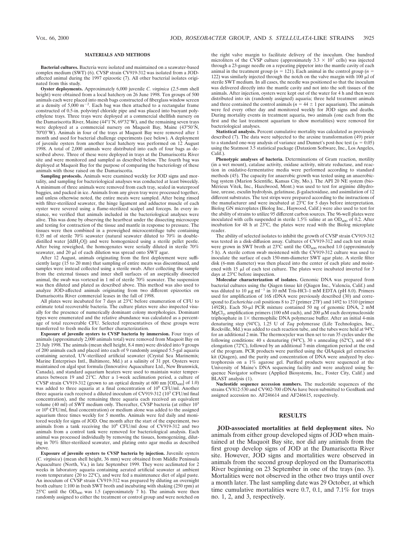#### **MATERIALS AND METHODS**

**Bacterial cultures.** Bacteria were isolated and maintained on a seawater-based complex medium (SWT) (6). CVSP strain CV919-312 was isolated from a JODaffected animal during the 1997 epizootic (7). All other bacterial isolates originated from this study.

**Oyster deployments.** Approximately 6,000 juvenile *C. virginica* (2.5-mm shell height) were obtained from a local hatchery on 26 June 1998. Ten groups of 500 animals each were placed into mesh bags constructed of fiberglass window screen at a density of 5,000 m<sup>-2</sup>. Each bag was then attached to a rectangular frame constructed of 0.5-in. polyvinyl chloride pipe and was placed into buoyant polyethylene trays. Three trays were deployed at a commercial shellfish nursery on the Damariscotta River, Maine  $(44^{\circ}1'N, 69^{\circ}32'W)$ , and the remaining seven trays were deployed at a commercial nursery on Maquoit Bay, Maine (43°50'N, 70°03′W). Animals in four of the trays at Maquoit Bay were removed after 1 month and used for bacterial challenge experiments (see below). A deployment of juvenile oysters from another local hatchery was performed on 12 August 1998. A total of 2,000 animals were distributed into each of four bags as described above. Three of these were deployed in trays at the Damariscotta River site and were monitored and sampled as described below. The fourth bag was deployed at Maquoit Bay for the purpose of comparing the bacteriology of these animals with those raised on the Damariscotta.

**Sampling protocols.** Animals were examined weekly for JOD signs and mortality, and sampling for bacteriological analyses was conducted at least biweekly. A minimum of three animals were removed from each tray, sealed in waterproof baggies, and packed in ice. Animals from any given tray were processed together, and unless otherwise noted, the entire meats were sampled. After being rinsed with filter-sterilized seawater, the hinge ligament and adductor muscle of each oyster were severed using a flame-sterilized scalpel and forceps. In every instance, we verified that animals included in the bacteriological analyses were alive. This was done by observing the heartbeat under the dissecting microscope and testing for contraction of the tissue and mantle in response to pressure. The tissues were then combined in a preweighed microcentrifuge tube containing 0.35 ml of sterile 70% seawater (natural seawater diluted to 70% in doubledistilled water [ddH2O]) and were homogenized using a sterile pellet pestle. After being reweighed, the homogenates were serially diluted in sterile 70% seawater, and 20  $\mu$ l of each dilution was spread onto SWT agar.

After 12 August, animals originating from the first deployment were sufficiently large (15 to 20 mm) that sampling of entire meats was discontinued, and samples were instead collected using a sterile swab. After collecting the sample from the external tissues and inner shell surfaces of an aseptically dissected animal, the swab was vortexed in 1 ml of sterile 70% seawater. The suspension was then diluted and plated as described above. This method was also used to analyze JOD-affected animals originating from two different epizootics on Damariscotta River commercial leases in the fall of 1998.

All plates were incubated for 7 days at 23°C before enumeration of CFU to estimate total recoverable bacteria. The culture plates were also inspected visually for the presence of numerically dominant colony morphologies. Dominant types were enumerated and the relative abundance was calculated as a percentage of total recoverable CFU. Selected representatives of these groups were transferred to fresh media for further characterization.

**Exposure of juvenile oysters to CVSP bacteria by immersion.** Four trays of animals (approximately 2,000 animals total) were removed from Maquoit Bay on 23 July 1998. The animals (mean shell height, 8.4 mm) were divided into 9 groups of 200 animals each and placed into each of 9 randomly assigned 5.5-gal aquaria containing aerated, UV-sterilized artificial seawater (Crystal Sea Marinemix; Marine Enterprises Intl., Baltimore, Md.) at a salinity of 31 ppt. Oysters were maintained on algal spat formula (Innovative Aquaculture Ltd., New Brunswick, Canada), and standard aquarium heaters were used to maintain water temperatures between 19 and 21°C. After a 1-week acclimation period, a culture of CVSP strain CV919-312 (grown to an optical density at  $600 \text{ nm}$  [OD<sub>600</sub>] of 1.0) was added to three aquaria at a final concentration of 10<sup>6</sup> CFU/ml. Another three aquaria each received a diluted inoculum of CV919-312 (10<sup>3</sup> CFU/ml final concentration), and the remaining three aquaria each received an equivalent volume (40 ml) of SWT medium only. Thereafter, CVSP bacteria (at either  $10^3$ or 10<sup>6</sup> CFU/ml, final concentration) or medium alone was added to the assigned aquarium three times weekly for 5 months. Animals were fed daily and monitored weekly for signs of JOD. One month after the start of the experiment, two animals from a tank receiving the 10<sup>6</sup> CFU/ml dose of CV919-312 and two animals from a control tank were removed for bacteriological analysis. Each animal was processed individually by removing the tissues, homogenizing, diluting in 70% filter-sterilized seawater, and plating onto agar media as described above.

**Exposure of juvenile oysters to CVSP bacteria by injection.** Juvenile oysters (*C. virginica*) (mean shell height, 36 mm) were obtained from Middle Peninsula Aquaculture (North, Va.) in late September 1999. They were acclimated for 2 weeks in laboratory aquaria containing aerated artificial seawater at ambient room temperature (20 to 22°C), and were fed a maintenance diet of algal paste. An inoculum of CVSP strain CV919-312 was prepared by diluting an overnight broth culture 1:100 in fresh SWT broth and incubating with shaking (250 rpm) at 25°C until the  $OD_{600}$  was 1.5 (approximately 7 h). The animals were then randomly assigned to either the treatment or control group and were notched on the right valve margin to facilitate delivery of the inoculum. One hundred microliters of the CVSP culture (approximately  $3.3 \times 10^7$  cells) was injected through a 23-gauge needle on a repeating pippetor into the mantle cavity of each animal in the treatment group ( $n = 121$ ). Each animal in the control group ( $n =$ 122) was similarly injected through the notch on the valve margin with  $100 \mu$ l of sterile SWT medium. In all cases, the needle was positioned so that the inoculum was delivered directly into the mantle cavity and not into the soft tissues of the animals. After injection, oysters were kept out of the water for 4 h and then were distributed into six (randomly assigned) aquaria; three held treatment animals and three contained the control animals ( $n = 44 \pm 1$  per aquarium). The animals were fed every other day and monitored weekly for JOD signs and deaths. During mortality events in treatment aquaria, two animals (one each from the first and the last treatment aquarium to show mortalities) were removed for bacteriological analyses.

**Statistical analysis.** Percent cumulative mortality was calculated as previously described (7). The data were subjected to the arcsine transformation (49) prior to a standard one-way analysis of variance and Dunnet's post-hoc test ( $\alpha = 0.05$ ) using the Statmost 3.5 statistical package (Dataxiom Software, Inc., Los Angeles, Calif.).

**Phenotypic analyses of bacteria.** Determinations of Gram reaction, motility (in a wet mount), catalase activity, oxidase activity, nitrate reductase, and reaction in oxidative-fermentative media were performed according to standard methods (45). The capacity for anaerobic growth was tested using an anaerobicbag system (Marion Scientific, Kansas City, Mo.). The API 20 NE system (bio-Mérieux Vitek, Inc., Hazelwood, Mont.) was used to test for arginine dihydrolase, urease, esculin hydrolysis, gelatinase, β-galactosidase, and assimilation of 12 different substrates. The test strips were prepared according to the instructions of the manufacturer and were incubated at 23°C for 5 days before interpretation. Biolog GN microplates (Biolog Inc., Haywood, Calif.) were also used to test for the ability of strains to utilize 95 different carbon sources. The 96-well plates were inoculated with cells suspended in sterile 1.5% saline at an  $OD<sub>600</sub>$  of 0.2. After incubation for 48 h at 23°C, the plates were read with the Biolog microplate reader.

The ability of selected isolates to inhibit the growth of CVSP strain CV919-312 was tested in a disk-diffusion assay. Cultures of CV919-312 and each test strain were grown in SWT broth at 23°C until the  $\rm OD_{600}$  reached 1.0 (approximately 5 h). A sterile cotton swab moistened with the CV919-312 culture was used to inoculate the surface of each 150-mm-diameter SWT agar plate. A sterile filter disk (6-mm diameter) was then placed into the center of each plate and moistened with 15  $\mu$ l of each test culture. The plates were incubated inverted for 3 days at 23°C before inspection.

**Molecular characterization of isolates.** Genomic DNA was prepared from bacterial cultures using the Qiagen tissue kit (Qiagen Inc., Valencia, Calif.) and was diluted to 10  $\mu$ g ml<sup>-1</sup> in 10 mM Tris-HCl-1 mM EDTA (pH 8.0). Primers used for amplification of 16S rDNA were previously described (30) and correspond to *Escherichia coli* positions 8 to 27 (primer 27F) and 1492 to 1510 (primer 1492R). Each 50- $\mu$ l PCR mixture contained 50 ng of genomic DNA, 2 mM MgCl<sub>2</sub>, amplification primers (100 nM each), and 200  $\mu$ M each deoxynucleoside triphosphate in  $1\times$  thermophilic DNA polymerase buffer. After an initial 4-min denaturing step (94°C), 1.25 U of *Taq* polymerase (Life Technologies, Inc., Rockville, Md.) was added to each reaction tube, and the tubes were held at 94°C for an additional 2 min. The thermocycler was then set to run 35 cycles under the following conditions: 40 s denaturing (94°C), 30 s annealing (62°C), and 60 s elongation (72°C), followed by an additional 7-min elongation period at the end of the program. PCR products were purified using the QIAquick gel extraction kit (Qiagen), and the purity and concentration of DNA were analyzed by electrophoresis on a 1% agarose gel. Purified products were sequenced at the University of Maine's DNA sequencing facility and were analyzed using Sequence Navigator software (Applied Biosystems, Inc., Foster City, Calif.) and BLAST analysis (1).

**Nucleotide sequence accession numbers.** The nucleotide sequences of the strains CV812-530 and CV902-700 rDNAs have been submitted to GenBank and assigned accession no. AF246614 and AF246615, respectively.

## **RESULTS**

**JOD-associated mortalities at field deployment sites.** No animals from either group developed signs of JOD when maintained at the Maquoit Bay site, nor did any animals from the first group develop signs of JOD at the Damariscotta River site. However, JOD signs and mortalities were observed in animals from the second group deployed on the Damariscotta River beginning on 23 September in one of the trays (no. 3). Mortalities were not observed in the other two trays until over a month later. The last sampling date was 29 October, at which time cumulative mortalities were 0.7, 0.1, and 7.1% for trays no. 1, 2, and 3, respectively.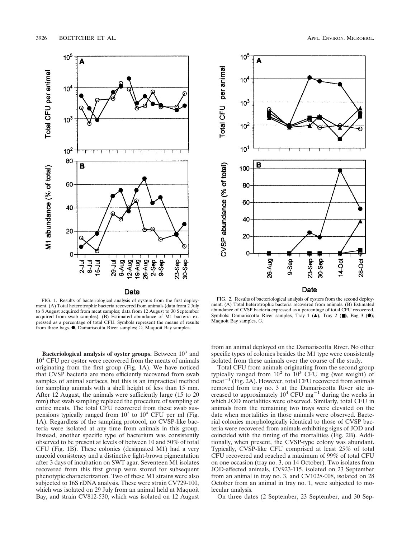

Total CFU per animal  $10<sup>4</sup>$  $10<sup>3</sup>$  $10<sup>2</sup>$  $10$ B CVSP abundance (% of total) 100 80 60 40 20  $\mathbf 0$ 26-Aug 23-Sep  $14-0ct$  $9-$ Sep 30-Sep  $28-0$ ct Date

 $10<sup>5</sup>$ 

A

FIG. 1. Results of bacteriological analysis of oysters from the first deployment. (A) Total heterotrophic bacteria recovered from animals (data from 2 July to 8 August acquired from meat samples; data from 12 August to 30 September acquired from swab samples). (B) Estimated abundance of M1 bacteria expressed as a percentage of total CFU. Symbols represent the means of results from three bags.  $\bullet$ , Damariscotta River samples;  $\circ$ , Maquoit Bay samples.

**Bacteriological analysis of oyster groups.** Between  $10<sup>3</sup>$  and  $10<sup>4</sup>$  CFU per oyster were recovered from the meats of animals originating from the first group (Fig. 1A). We have noticed that CVSP bacteria are more efficiently recovered from swab samples of animal surfaces, but this is an impractical method for sampling animals with a shell height of less than 15 mm. After 12 August, the animals were sufficiently large (15 to 20 mm) that swab sampling replaced the procedure of sampling of entire meats. The total CFU recovered from these swab suspensions typically ranged from  $10^3$  to  $10^4$  CFU per ml (Fig. 1A). Regardless of the sampling protocol, no CVSP-like bacteria were isolated at any time from animals in this group. Instead, another specific type of bacterium was consistently observed to be present at levels of between 10 and 50% of total CFU (Fig. 1B). These colonies (designated M1) had a very mucoid consistency and a distinctive light-brown pigmentation after 3 days of incubation on SWT agar. Seventeen M1 isolates recovered from this first group were stored for subsequent phenotypic characterization. Two of these M1 strains were also subjected to 16S rDNA analysis. These were strain CV729-100, which was isolated on 29 July from an animal held at Maquoit Bay, and strain CV812-530, which was isolated on 12 August

FIG. 2. Results of bacteriological analysis of oysters from the second deployment. (A) Total heterotrophic bacteria recovered from animals. (B) Estimated abundance of CVSP bacteria expressed as a percentage of total CFU recovered. Symbols: Damariscotta River samples, Tray 1 (A), Tray 2 ( $\blacksquare$ ), Bag 3 ( $\spadesuit$ ); Maquoit Bay samples,  $\circlearrowright$ .

from an animal deployed on the Damariscotta River. No other specific types of colonies besides the M1 type were consistently isolated from these animals over the course of the study.

Total CFU from animals originating from the second group typically ranged from  $10^2$  to  $10^3$  CFU mg (wet weight) of  $meat^{-1}$  (Fig. 2A). However, total CFU recovered from animals removed from tray no. 3 at the Damariscotta River site increased to approximately  $10^4$  CFU mg<sup>-1</sup> during the weeks in which JOD mortalities were observed. Similarly, total CFU in animals from the remaining two trays were elevated on the date when mortalities in those animals were observed. Bacterial colonies morphologically identical to those of CVSP bacteria were recovered from animals exhibiting signs of JOD and coincided with the timing of the mortalities (Fig. 2B). Additionally, when present, the CVSP-type colony was abundant. Typically, CVSP-like CFU comprised at least 25% of total CFU recovered and reached a maximum of 99% of total CFU on one occasion (tray no. 3, on 14 October). Two isolates from JOD-affected animals, CV923-115, isolated on 23 September from an animal in tray no. 3, and CV1028-008, isolated on 28 October from an animal in tray no. 1, were subjected to molecular analysis.

On three dates (2 September, 23 September, and 30 Sep-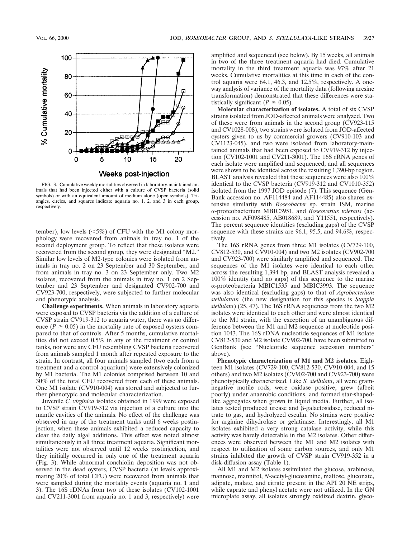

FIG. 3. Cumulative weekly mortalities observed in laboratory-maintained animals that had been injected either with a culture of CVSP bacteria (solid symbols) or with an equivalent amount of medium alone (open symbols). Triangles, circles, and squares indicate aquaria no. 1, 2, and 3 in each group, respectively.

tember), low levels  $(<5\%)$  of CFU with the M1 colony morphology were recovered from animals in tray no. 1 of the second deployment group. To reflect that these isolates were recovered from the second group, they were designated "M2." Similar low levels of M2-type colonies were isolated from animals in tray no. 2 on 23 September and 30 September, and from animals in tray no. 3 on 23 September only. Two M2 isolates, recovered from the animals in tray no. 1 on 2 September and 23 September and designated CV902-700 and CV923-700, respectively, were subjected to further molecular and phenotypic analysis.

**Challenge experiments.** When animals in laboratory aquaria were exposed to CVSP bacteria via the addition of a culture of CVSP strain CV919-312 to aquaria water, there was no difference ( $P \ge 0.05$ ) in the mortality rate of exposed oysters compared to that of controls. After 5 months, cumulative mortalities did not exceed 0.5% in any of the treatment or control tanks, nor were any CFU resembling CVSP bacteria recovered from animals sampled 1 month after repeated exposure to the strain. In contrast, all four animals sampled (two each from a treatment and a control aquarium) were extensively colonized by M1 bacteria. The M1 colonies comprised between 10 and 30% of the total CFU recovered from each of these animals. One M1 isolate (CV910-004) was stored and subjected to further phenotypic and molecular characterization.

Juvenile *C. virginica* isolates obtained in 1999 were exposed to CVSP strain CV919-312 via injection of a culture into the mantle cavities of the animals. No effect of the challenge was observed in any of the treatment tanks until 6 weeks postinjection, when these animals exhibited a reduced capacity to clear the daily algal additions. This effect was noted almost simultaneously in all three treatment aquaria. Significant mortalities were not observed until 12 weeks postinjection, and they initially occurred in only one of the treatment aquaria (Fig. 3). While abnormal conchiolin deposition was not observed in the dead oysters, CVSP bacteria (at levels approximating 20% of total CFU) were recovered from animals that were sampled during the mortality events (aquaria no. 1 and 3). The 16S rDNAs from two of these isolates (CV102-1001 and CV211-3001 from aquaria no. 1 and 3, respectively) were

amplified and sequenced (see below). By 15 weeks, all animals in two of the three treatment aquaria had died. Cumulative mortality in the third treatment aquaria was 97% after 21 weeks. Cumulative mortalities at this time in each of the control aquaria were 64.1, 46.3, and 12.5%, respectively. A oneway analysis of variance of the mortality data (following arcsine transformation) demonstrated that these differences were statistically significant ( $P \le 0.05$ ).

**Molecular characterization of isolates.** A total of six CVSP strains isolated from JOD-affected animals were analyzed. Two of these were from animals in the second group (CV923-115 and CV1028-008), two strains were isolated from JOD-affected oysters given to us by commercial growers (CV910-103 and CV1123-045), and two were isolated from laboratory-maintained animals that had been exposed to CV919-312 by injection (CV102-1001 and CV211-3001). The 16S rRNA genes of each isolate were amplified and sequenced, and all sequences were shown to be identical across the resulting 1,390-bp region. BLAST analysis revealed that these sequences were also 100% identical to the CVSP bacteria (CV919-312 and CV1010-352) isolated from the 1997 JOD episode (7). This sequence (Gen-Bank accession no. AF114484 and AF114485) also shares extensive similarity with *Roseobacter* sp. strain ISM, marine a-proteobacterium MBIC3951, and *Roseovarius tolerans* (accession no. AF098485, AB018689, and Y11551, respectively). The percent sequence identities (excluding gaps) of the CVSP sequence with these strains are 96.1, 95.5, and 94.6%, respectively.

The 16S rRNA genes from three M1 isolates (CV729-100, CV812-530, and CV910-004) and two M2 isolates (CV902-700 and CV923-700) were similarly amplified and sequenced. The sequences of the M1 isolates were identical to each other across the resulting 1,394 bp, and BLAST analysis revealed a 100% identity (and no gaps) of this sequence to the marine a-proteobacteria MBIC1535 and MBIC3993. The sequence was also identical (excluding gaps) to that of *Agrobacterium stellulatum* (the new designation for this species is *Stappia stellulata*) (25, 47). The 16S rRNA sequences from the two M2 isolates were identical to each other and were almost identical to the M1 strain, with the exception of an unambiguous difference between the M1 and M2 sequence at nucleotide position 1043. The 16S rDNA nucleotide sequences of M1 isolate CV812-530 and M2 isolate CV902-700, have been submitted to GenBank (see "Nucleotide sequence accession numbers" above).

**Phenotypic characterization of M1 and M2 isolates.** Eighteen M1 isolates (CV729-100, CV812-530, CV910-004, and 15 others) and two M2 isolates (CV902-700 and CV923-700) were phenotypically characterized. Like *S. stellulata*, all were gramnegative motile rods, were oxidase positive, grew (albeit poorly) under anaerobic conditions, and formed star-shapedlike aggregates when grown in liquid media. Further, all isolates tested produced urease and  $\beta$ -galactosidase, reduced nitrate to gas, and hydrolyzed esculin. No strains were positive for arginine dihydrolase or gelatinase. Interestingly, all M1 isolates exhibited a very strong catalase activity, while this activity was barely detectable in the M2 isolates. Other differences were observed between the M1 and M2 isolates with respect to utilization of some carbon sources, and only M1 strains inhibited the growth of CVSP strain CV919-352 in a disk-diffusion assay (Table 1).

All M1 and M2 isolates assimilated the glucose, arabinose, mannose, mannitol, *N*-acetyl-glucosamine, maltose, gluconate, adipate, malate, and citrate present in the API 20 NE strips, while caprate and phenyl acetate were not utilized. In the GN microplate assay, all isolates strongly oxidized dextrin, glyco-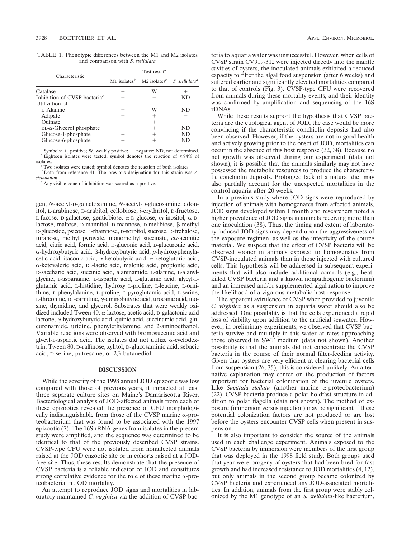TABLE 1. Phenotypic differences between the M1 and M2 isolates and comparison with *S. stellulata*

| Characteristic                                        | Test result <sup>a</sup>             |                                                     |    |
|-------------------------------------------------------|--------------------------------------|-----------------------------------------------------|----|
|                                                       | M <sub>1</sub> isolates <sup>b</sup> | M2 isolates <sup>c</sup> S. stellulata <sup>d</sup> |    |
| Catalase                                              |                                      | w                                                   |    |
| Inhibition of CVSP bacteria <sup><math>e</math></sup> |                                      |                                                     | ND |
| Utilization of:                                       |                                      |                                                     |    |
| D-Alanine                                             |                                      | W                                                   | ND |
| Adipate                                               |                                      |                                                     |    |
| Ouinate                                               |                                      |                                                     |    |
| $DL-\alpha$ -Glycerol phosphate                       |                                      |                                                     | ND |
| Glucose-1-phosphate                                   |                                      |                                                     | ND |
| Glucose-6-phosphate                                   |                                      |                                                     | ND |

*a* Symbols: +, positive; W, weakly positive; -, negative; ND, not determined. *b* Eighteen isolates were tested; symbol denotes the reaction of  $\geq$ 94% of

isolates. *<sup>c</sup>* Two isolates were tested; symbol denotes the reaction of both isolates.

*<sup>d</sup>* Data from reference 41. The previous designation for this strain was *A.*

 $e$  Any visible zone of inhibition was scored as a positive.

gen, *N*-acetyl-D-galactosamine, *N*-acetyl-D-glucosamine, adonitol, L-arabinose, D-arabitol, cellobiose, *i*-erythritol, D-fructose, L-fucose, D-galactose, gentiobiose, a-D-glucose, *m*-inositol, a-Dlactose, maltose, D-mannitol, D-mannose, D-melibiose, b-methyl D-glucoside, psicose, L-rhamnose, D-sorbitol, sucrose, D-trehalose, turanose, methyl pyruvate, monomethyl succinate, *cis*-aconitic acid, citric acid, formic acid, D-gluconic acid, D-glucuronic acid, a-hydroxybutyric acid, b-hydroxybutyric acid, *p*-hydroxyphenylacetic acid, itaconic acid, a-ketobutyric acid, a-ketoglutaric acid, a-ketovaleric acid, DL-lactic acid, malonic acid, propionic acid, D-saccharic acid, succinic acid, alaninamide, L-alanine, L-alanylglycine, L-asparagine, L-aspartic acid, L-glutamic acid, glycyl-Lglutamic acid, L-histidine, hydroxy L-proline, L-leucine, L-ornithine, L-phenylalanine, L-proline, L-pyroglutamic acid, L-serine, L-threonine, DL-carnitine,  $\gamma$ -aminobutyric acid, urocanic acid, inosine, thymidine, and glycerol. Substrates that were weakly oxidized included Tween 40, a-lactose, acetic acid, D-galactonic acid lactone, y-hydroxybutyric acid, quinic acid, succinamic acid, glucuronamide, uridine, phenylethylamine, and 2-aminoethanol. Variable reactions were observed with bromosuccinic acid and glycyl-L-aspartic acid. The isolates did not utilize  $\alpha$ -cyclodextrin, Tween 80, D-raffinose, xylitol, D-glucosaminic acid, sebacic acid, D-serine, putrescine, or 2,3-butanediol.

## **DISCUSSION**

While the severity of the 1998 annual JOD epizootic was low compared with those of previous years, it impacted at least three separate culture sites on Maine's Damariscotta River. Bacteriological analysis of JOD-affected animals from each of these epizootics revealed the presence of CFU morphologically indistinguishable from those of the CVSP marine  $\alpha$ -proteobacterium that was found to be associated with the 1997 epizootic (7). The 16S rRNA genes from isolates in the present study were amplified, and the sequence was determined to be identical to that of the previously described CVSP strains. CVSP-type CFU were not isolated from nonaffected animals raised at the JOD enzootic site or in cohorts raised at a JODfree site. Thus, these results demonstrate that the presence of CVSP bacteria is a reliable indicator of JOD and constitutes strong correlative evidence for the role of these marine  $\alpha$ -proteobacteria in JOD mortality.

An attempt to reproduce JOD signs and mortalities in laboratory-maintained *C. virginica* via the addition of CVSP bacteria to aquaria water was unsuccessful. However, when cells of CVSP strain CV919-312 were injected directly into the mantle cavities of oysters, the inoculated animals exhibited a reduced capacity to filter the algal food suspension (after 6 weeks) and suffered earlier and significantly elevated mortalities compared to that of controls (Fig. 3). CVSP-type CFU were recovered from animals during these mortality events, and their identity was confirmed by amplification and sequencing of the 16S rDNAs.

While these results support the hypothesis that CVSP bacteria are the etiological agent of JOD, the case would be more convincing if the characteristic conchiolin deposits had also been observed. However, if the oysters are not in good health and actively growing prior to the onset of JOD, mortalities can occur in the absence of this host response (32, 38). Because no net growth was observed during our experiment (data not shown), it is possible that the animals similarly may not have possessed the metabolic resources to produce the characteristic conchiolin deposits. Prolonged lack of a natural diet may also partially account for the unexpected mortalities in the control aquaria after 20 weeks.

In a previous study where JOD signs were reproduced by injection of animals with homogenates from affected animals, JOD signs developed within 1 month and researchers noted a higher prevalence of JOD signs in animals receiving more than one inoculation (38). Thus, the timing and extent of laboratory-induced JOD signs may depend upon the aggressiveness of the exposure regimen, as well as the infectivity of the source material. We suspect that the effect of CVSP bacteria will be observed sooner in animals exposed to homogenates from CVSP-inoculated animals than in those injected with cultured cells. This hypothesis will be addressed in subsequent experiments that will also include additional controls (e.g., heatkilled CVSP bacteria and a known nonpathogenic bacterium) and an increased and/or supplemented algal ration to improve the likelihood of a vigorous metabolic host response.

The apparent avirulence of CVSP when provided to juvenile *C. virginica* as a suspension in aquaria water should also be addressed. One possibility is that the cells experienced a rapid loss of viability upon addition to the artificial seawater. However, in preliminary experiments, we observed that CVSP bacteria survive and multiply in this water at rates approaching those observed in SWT medium (data not shown). Another possibility is that the animals did not concentrate the CVSP bacteria in the course of their normal filter-feeding activity. Given that oysters are very efficient at clearing bacterial cells from suspension (26, 35), this is considered unlikely. An alternative explanation may center on the production of factors important for bacterial colonization of the juvenile oysters. Like *Sagittula stellata* (another marine a-proteobacterium) (22), CVSP bacteria produce a polar holdfast structure in addition to polar flagella (data not shown). The method of exposure (immersion versus injection) may be significant if these potential colonization factors are not produced or are lost before the oysters encounter CVSP cells when present in suspension.

It is also important to consider the source of the animals used in each challenge experiment. Animals exposed to the CVSP bacteria by immersion were members of the first group that was deployed in the 1998 field study. Both groups used that year were progeny of oysters that had been bred for fast growth and had increased resistance to JOD mortalities (4, 12), but only animals in the second group became colonized by CVSP bacteria and experienced any JOD-associated mortalities. In addition, animals from the first group were stably colonized by the M1 genotype of an *S. stellulata*-like bacterium,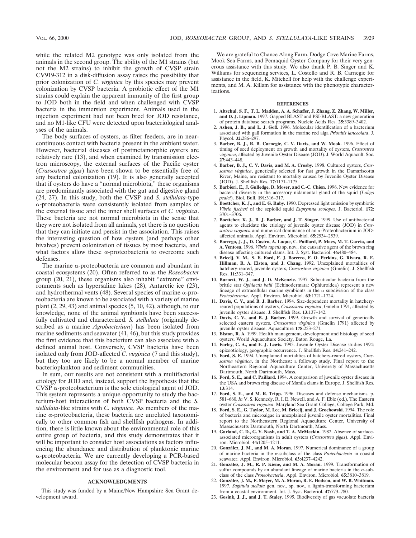while the related M2 genotype was only isolated from the animals in the second group. The ability of the M1 strains (but not the M2 strains) to inhibit the growth of CVSP strain CV919-312 in a disk-diffusion assay raises the possibility that prior colonization of *C. virginica* by this species may prevent colonization by CVSP bacteria. A probiotic effect of the M1 strains could explain the apparent immunity of the first group to JOD both in the field and when challenged with CVSP bacteria in the immersion experiment. Animals used in the injection experiment had not been bred for JOD resistance, and no M1-like CFU were detected upon bacteriological analyses of the animals.

The body surfaces of oysters, as filter feeders, are in nearcontinuous contact with bacteria present in the ambient water. However, bacterial diseases of postmetamorphic oysters are relatively rare (13), and when examined by transmission electron microscopy, the external surfaces of the Pacific oyster (*Crassostrea gigas*) have been shown to be essentially free of any bacterial colonization (19). It is also generally accepted that if oysters do have a "normal microbiota," these organisms are predominantly associated with the gut and digestive gland (24, 27). In this study, both the CVSP and *S. stellulata*-type a-proteobacteria were consistently isolated from samples of the external tissue and the inner shell surfaces of *C. virginica*. These bacteria are not normal microbiota in the sense that they were not isolated from all animals, yet there is no question that they can initiate and persist in the association. This raises the interesting question of how oysters (and perhaps other bivalves) prevent colonization of tissues by most bacteria, and what factors allow these  $\alpha$ -proteobacteria to overcome such defenses.

The marine  $\alpha$ -proteobacteria are common and abundant in coastal ecosystems (20). Often referred to as the *Roseobacter* group (20, 21), these organisms also inhabit "extreme" environments such as hypersaline lakes (28), Antarctic ice (23), and hydrothermal vents (48). Several species of marine  $\alpha$ -proteobacteria are known to be associated with a variety of marine plant (2, 29, 43) and animal species (5, 10, 42), although, to our knowledge, none of the animal symbionts have been successfully cultivated and characterized. *S. stellulata* (originally described as a marine *Agrobacterium*) has been isolated from marine sediments and seawater (41, 46), but this study provides the first evidence that this bacterium can also associate with a defined animal host. Conversely, CVSP bacteria have been isolated only from JOD-affected *C. virginica* (7 and this study), but they too are likely to be a normal member of marine bacterioplankton and sediment communities.

In sum, our results are not consistent with a multifactorial etiology for JOD and, instead, support the hypothesis that the CVSP  $\alpha$ -proteobacterium is the sole etiological agent of JOD. This system represents a unique opportunity to study the bacterium-host interactions of both CVSP bacteria and the *S. stellulata*-like strains with *C. virginica*. As members of the marine  $\alpha$ -proteobacteria, these bacteria are unrelated taxonomically to other common fish and shellfish pathogens. In addition, there is little known about the environmental role of this entire group of bacteria, and this study demonstrates that it will be important to consider host associations as factors influencing the abundance and distribution of planktonic marine a-proteobacteria. We are currently developing a PCR-based molecular beacon assay for the detection of CVSP bacteria in the environment and for use as a diagnostic tool.

## **ACKNOWLEDGMENTS**

This study was funded by a Maine/New Hampshire Sea Grant development award.

We are grateful to Chance Along Farm, Dodge Cove Marine Farms, Mook Sea Farms, and Pemaquid Oyster Company for their very generous assistance with this study. We also thank P. B. Singer and K. Williams for sequencing services, L. Costello and R. B. Carnegie for assistance in the field, K. Mitchell for help with the challenge experiments, and M. A. Killam for assistance with the phenotypic characterizations.

#### **REFERENCES**

- 1. **Altschul, S. F., T. L. Madden, A. A. Schaffer, J. Zhang, Z. Zhang, W. Miller, and D. J. Lipman.** 1997. Gapped BLAST and PSI-BLAST: a new generation of protein database search programs. Nucleic Acids Res. **25:**3389–3402.
- 2. **Ashen, J. B., and L. J. Goff.** 1996. Molecular identification of a bacterium associated with gall formation in the marine red alga *Prionitis lanceolata*. J. Phycol. **32:**286–297.
- 3. **Barber, B. J., R. B. Carnegie, C. V. Davis, and W. Mook.** 1996. Effect of timing of seed deployment on growth and mortality of oysters, *Crassostrea virginica*, affected by Juvenile Oyster Disease (JOD). J. World Aquacult. Soc. **27:**443–448.
- 4. **Barber, B. J., C. V. Davis, and M. A. Crosby.** 1998. Cultured oysters, *Crassostrea virginica*, genetically selected for fast growth in the Damariscotta River, Maine, are resistant to mortality caused by Juvenile Oyster Disease (JOD). J. Shellfish Res. **17:**1171–1175.
- 5. **Barbieri, E., J. Gulledge, D. Moser, and C.-C. Chien.** 1996. New evidence for bacterial diversity in the accessory nidamental gland of the squid (*Loligo pealei*). Biol. Bull. **191:**316–317.
- 6. **Boettcher, K. J., and E. G. Ruby.** 1990. Depressed light emission by symbiotic *Vibrio fischeri* of the sepiolid squid *Euprymna scolopes*. J. Bacteriol. **172:** 3701–3706.
- 7. **Boettcher, K. J., B. J. Barber, and J. T. Singer.** 1999. Use of antibacterial agents to elucidate the etiology of juvenile oyster disease (JOD) in *Crassostrea virginica* and numerical dominance of an a-Proteobacterium in JODaffected animals. Appl. Environ. Microbiol. **65:**2534–2539.
- 8. **Borrego, J. J., D. Castro, A. Luque, C. Paillard, P. Maes, M. T. Garcia, and A. Ventosa.** 1996. *Vibrio tapetis* sp. nov., the causative agent of the brown ring disease affecting cultured clams. Int. J. Syst. Bacteriol. **46:**480–484.
- 9. **Bricelj, V. M., S. E. Ford, F. J. Borerro, F. O. Perkins, G. Rivara, R. E. Hillman, R. A. Elston, and J. Chang.** 1992. Unexplained mortalities of hatchery-reared, juvenile oysters, *Crassostrea virginica* (Gmelin). J. Shellfish Res. **11:**331–347.
- 10. **Burnett, W. J., and J. D. McKenzie.** 1997. Subcuticular bacteria from the brittle star *Ophiactis balli* (Echinodermata: Ophiuroidea) represent a new lineage of extracellular marine symbionts in the  $\alpha$  subdivision of the class *Proteobacteria*. Appl. Environ. Microbiol. **63:**1721–1724.
- 11. **Davis, C. V., and B. J. Barber.** 1994. Size-dependent mortality in hatcheryreared populations of oysters, *Crassostrea virginica*, Gmelin 1791, affected by juvenile oyster disease. J. Shellfish Res. **13:**137–142.
- 12. **Davis, C. V., and B. J. Barber.** 1999. Growth and survival of genetically selected eastern oysters, *Crassostrea virginica* (Gmelin 1791) affected by juvenile oyster disease. Aquaculture **178:**253–271.
- 13. **Elston, R. A.** 1999. Health management, development and histology of seed oysters. World Aquaculture Society, Baton Rouge, La.
- 14. **Farley, C. A., and E. J. Lewis.** 1995. Juvenile Oyster Disease studies 1994: epizootiology, geographic occurrence. J. Shellfish Res. **14:**241–242.
- 15. **Ford, S. E.** 1994. Unexplained mortalities of hatchery-reared oysters, *Crassostrea virginica*, in the Northeast: a followup study. Final report to the Northeastern Regional Aquaculture Center, University of Massachusetts Dartmouth, North Dartmouth, Mass.
- 16. **Ford, S. E., and C. Paillard.** 1994. A comparison of juvenile oyster disease in the USA and brown ring disease of Manila clams in Europe. J. Shellfish Res. **13:**314.
- 17. **Ford, S. E., and M. R. Tripp.** 1996. Diseases and defense mechanisms, p. 581–660. *In* V. S. Kennedy, R. I. E. Newell, and A. F. Eble (ed.), The Eastern oyster *Crassostrea virginica*. Maryland Sea Grant College, College Park, Md.
- 18. **Ford, S. E., G. Taylor, M. Lee, M. Bricelj, and J. Grochowski.** 1994. The role of bacteria and microalgae in unexplained juvenile oyster mortalities. Final report to the Northeastern Regional Aquaculture Center, University of Massachusetts Dartmouth, North Dartmouth, Mass.
- 19. **Garland, C. D., G. V. Nash, and T. A. McMeekin.** 1982. Absence of surfaceassociated microorganisms in adult oysters (*Crassostrea gigas*). Appl. Environ. Microbiol. **44:**1205–1211.
- 20. **González, J. M., and M. A. Moran.** 1997. Numerical dominance of a group of marine bacteria in the a-subclass of the class *Proteobacteria* in coastal seawater. Appl. Environ. Microbiol. **63:**4237–4242.
- 21. **González, J. M., R. P. Kiene, and M. A. Moran.** 1999. Transformation of sulfur compounds by an abundant lineage of marine bacteria in the  $\alpha$ -subclass of the class *Proteobacteria*. Appl. Environ. Microbiol. **65:**3810–3819.
- 22. González, J. M., F. Mayer, M. A. Moran, R. E. Hodson, and W. B. Whitman. 1997. *Sagittula stellata* gen. nov., sp. nov., a lignin-transforming bacterium from a coastal environment. Int. J. Syst. Bacteriol. **47:**773–780.
- 23. **Gosink, J. J., and J. T. Staley.** 1995. Biodiversity of gas vacuolate bacteria